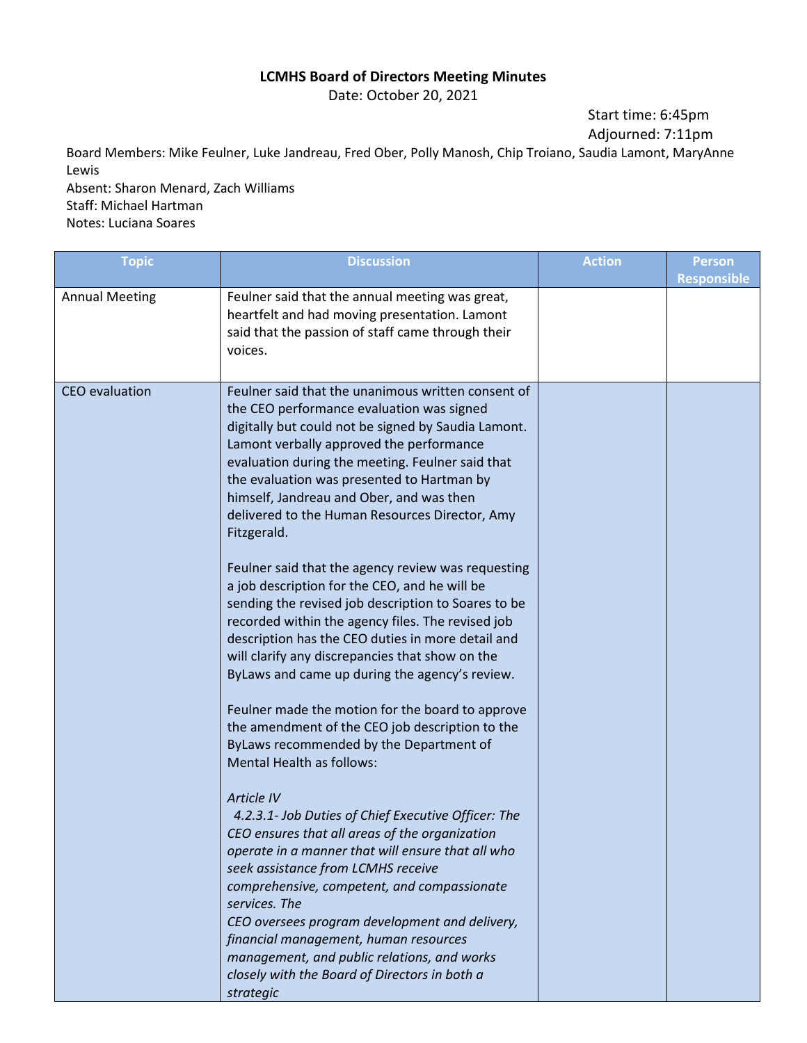## **LCMHS Board of Directors Meeting Minutes**

Date: October 20, 2021

Start time: 6:45pm Adjourned: 7:11pm

Board Members: Mike Feulner, Luke Jandreau, Fred Ober, Polly Manosh, Chip Troiano, Saudia Lamont, MaryAnne Lewis

Absent: Sharon Menard, Zach Williams Staff: Michael Hartman Notes: Luciana Soares

| <b>Topic</b>          | <b>Discussion</b>                                                                                                                                                                                                                                                                                                                                                                                                                                                                                                                                                                                                                                                                                                                                                                                                                                                                                                                                                                                                                                                                                                                                                                                                                                                                                                                                                                                                                                                        | <b>Action</b> | <b>Person</b><br><b>Responsible</b> |
|-----------------------|--------------------------------------------------------------------------------------------------------------------------------------------------------------------------------------------------------------------------------------------------------------------------------------------------------------------------------------------------------------------------------------------------------------------------------------------------------------------------------------------------------------------------------------------------------------------------------------------------------------------------------------------------------------------------------------------------------------------------------------------------------------------------------------------------------------------------------------------------------------------------------------------------------------------------------------------------------------------------------------------------------------------------------------------------------------------------------------------------------------------------------------------------------------------------------------------------------------------------------------------------------------------------------------------------------------------------------------------------------------------------------------------------------------------------------------------------------------------------|---------------|-------------------------------------|
| <b>Annual Meeting</b> | Feulner said that the annual meeting was great,<br>heartfelt and had moving presentation. Lamont<br>said that the passion of staff came through their<br>voices.                                                                                                                                                                                                                                                                                                                                                                                                                                                                                                                                                                                                                                                                                                                                                                                                                                                                                                                                                                                                                                                                                                                                                                                                                                                                                                         |               |                                     |
| <b>CEO</b> evaluation | Feulner said that the unanimous written consent of<br>the CEO performance evaluation was signed<br>digitally but could not be signed by Saudia Lamont.<br>Lamont verbally approved the performance<br>evaluation during the meeting. Feulner said that<br>the evaluation was presented to Hartman by<br>himself, Jandreau and Ober, and was then<br>delivered to the Human Resources Director, Amy<br>Fitzgerald.<br>Feulner said that the agency review was requesting<br>a job description for the CEO, and he will be<br>sending the revised job description to Soares to be<br>recorded within the agency files. The revised job<br>description has the CEO duties in more detail and<br>will clarify any discrepancies that show on the<br>ByLaws and came up during the agency's review.<br>Feulner made the motion for the board to approve<br>the amendment of the CEO job description to the<br>ByLaws recommended by the Department of<br><b>Mental Health as follows:</b><br><b>Article IV</b><br>4.2.3.1- Job Duties of Chief Executive Officer: The<br>CEO ensures that all areas of the organization<br>operate in a manner that will ensure that all who<br>seek assistance from LCMHS receive<br>comprehensive, competent, and compassionate<br>services. The<br>CEO oversees program development and delivery,<br>financial management, human resources<br>management, and public relations, and works<br>closely with the Board of Directors in both a |               |                                     |
|                       | strategic                                                                                                                                                                                                                                                                                                                                                                                                                                                                                                                                                                                                                                                                                                                                                                                                                                                                                                                                                                                                                                                                                                                                                                                                                                                                                                                                                                                                                                                                |               |                                     |